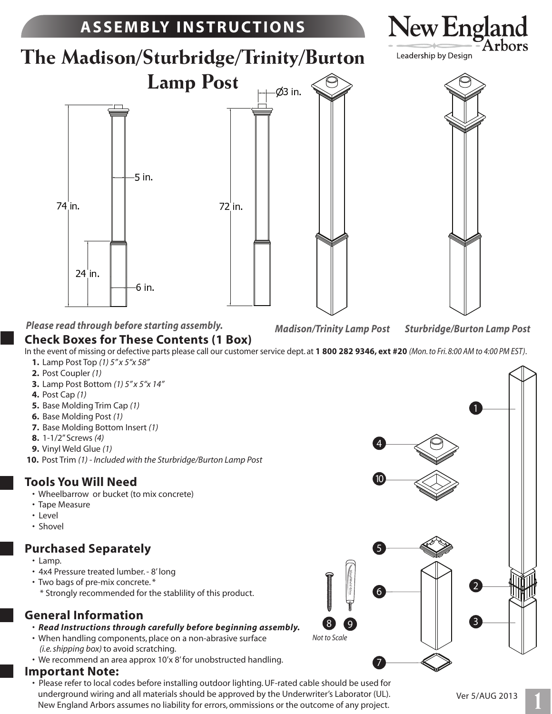

8 *Not to Scale*

9

6

5

7

#### **Purchased Separately**

- Lamp.
- 4x4 Pressure treated lumber. 8' long
- Two bags of pre-mix concrete. \*
- \* Strongly recommended for the stablility of this product.

#### **General Information**

- *Read Instructions through carefully before beginning assembly.*
- When handling components, place on a non-abrasive surface  *(i.e. shipping box)* to avoid scratching.
- We recommend an area approx 10'x 8' for unobstructed handling.

#### **Important Note:**

 • Please refer to local codes before installing outdoor lighting. UF-rated cable should be used for underground wiring and all materials should be approved by the Underwriter's Laborator (UL). New England Arbors assumes no liability for errors, ommissions or the outcome of any project.

3

 $\left( 2\right)$ 

## **1**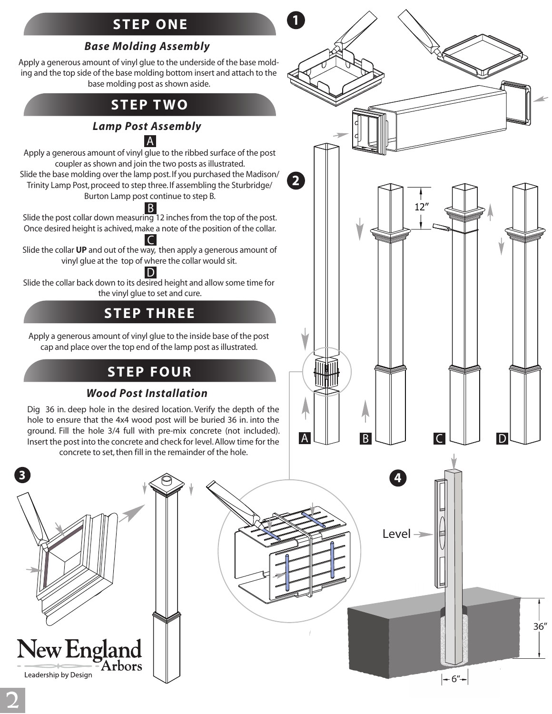## **STEP ONE**

**1**

#### *Base Molding Assembly*

Apply a generous amount of vinyl glue to the underside of the base molding and the top side of the base molding bottom insert and attach to the base molding post as shown aside.

### **STEP TWO**

#### *Lamp Post Assembly*

A

Apply a generous amount of vinyl glue to the ribbed surface of the post coupler as shown and join the two posts as illustrated. Slide the base molding over the lamp post. If you purchased the Madison/ Trinity Lamp Post, proceed to step three. If assembling the Sturbridge/ Burton Lamp post continue to step B.

Slide the post collar down measuring 12 inches from the top of the post. Once desired height is achived, make a note of the position of the collar. B

Slide the collar **UP** and out of the way, then apply a generous amount of vinyl glue at the top of where the collar would sit. C

Slide the collar back down to its desired height and allow some time for the vinyl glue to set and cure. D

## **STEP THREE**

Apply a generous amount of vinyl glue to the inside base of the post cap and place over the top end of the lamp post as illustrated.

## **STEP FOUR**

#### *Wood Post Installation*

Dig 36 in. deep hole in the desired location. Verify the depth of the hole to ensure that the 4x4 wood post will be buried 36 in. into the ground. Fill the hole 3/4 full with pre-mix concrete (not included). Insert the post into the concrete and check for level. Allow time for the concrete to set, then fill in the remainder of the hole.

New England Arbors Leadership by Design

**4 2** 12 AU BU CU D

Level  $\rightarrow$ 

36"

**3**